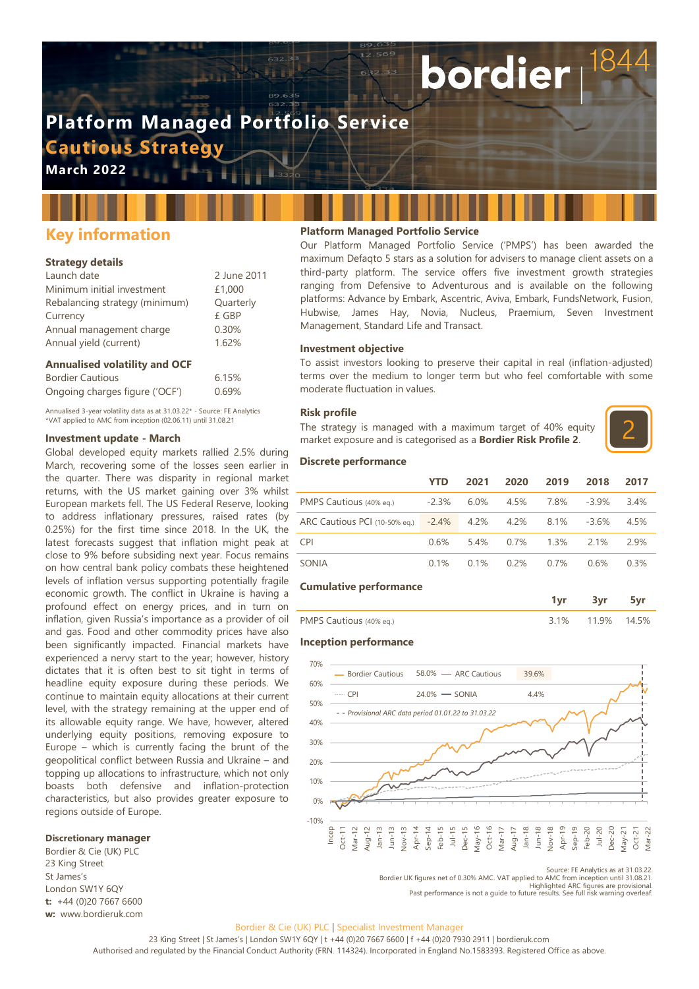# **Platform Managed Portfolio Service Cautious Strategy**

**March 2022**

## **Key information**

#### **Strategy details**

| Launch date                    | 2 June 2011 |
|--------------------------------|-------------|
| Minimum initial investment     | £1,000      |
| Rebalancing strategy (minimum) | Quarterly   |
| Currency                       | £ GBP       |
| Annual management charge       | 0.30%       |
| Annual yield (current)         | 1.62%       |

#### **Annualised volatility and OCF**

| <b>Bordier Cautious</b>        | 6.15% |
|--------------------------------|-------|
| Ongoing charges figure ('OCF') | 0.69% |

Annualised 3-year volatility data as at 31.03.22\* - Source: FE Analytics \*VAT applied to AMC from inception (02.06.11) until 31.08.21

#### **Investment update - March**

Global developed equity markets rallied 2.5% during March, recovering some of the losses seen earlier in the quarter. There was disparity in regional market returns, with the US market gaining over 3% whilst European markets fell. The US Federal Reserve, looking to address inflationary pressures, raised rates (by 0.25%) for the first time since 2018. In the UK, the latest forecasts suggest that inflation might peak at close to 9% before subsiding next year. Focus remains on how central bank policy combats these heightened levels of inflation versus supporting potentially fragile economic growth. The conflict in Ukraine is having a profound effect on energy prices, and in turn on inflation, given Russia's importance as a provider of oil and gas. Food and other commodity prices have also been significantly impacted. Financial markets have experienced a nervy start to the year; however, history dictates that it is often best to sit tight in terms of headline equity exposure during these periods. We continue to maintain equity allocations at their current level, with the strategy remaining at the upper end of its allowable equity range. We have, however, altered underlying equity positions, removing exposure to Europe – which is currently facing the brunt of the geopolitical conflict between Russia and Ukraine – and topping up allocations to infrastructure, which not only boasts both defensive and inflation-protection characteristics, but also provides greater exposure to regions outside of Europe.

#### **Discretionary manager**

Bordier & Cie (UK) PLC 23 King Street St James's London SW1Y 6QY **t:** +44 (0)20 7667 6600 **w:** www.bordieruk.com

#### **Platform Managed Portfolio Service**

Our Platform Managed Portfolio Service ('PMPS') has been awarded the maximum Defaqto 5 stars as a solution for advisers to manage client assets on a third-party platform. The service offers five investment growth strategies ranging from Defensive to Adventurous and is available on the following platforms: Advance by Embark, Ascentric, Aviva, Embark, FundsNetwork, Fusion, Hubwise, James Hay, Novia, Nucleus, Praemium, Seven Investment Management, Standard Life and Transact.

bordier

#### **Investment objective**

To assist investors looking to preserve their capital in real (inflation-adjusted) terms over the medium to longer term but who feel comfortable with some moderate fluctuation in values.

#### **Risk profile**

The strategy is managed with a maximum target of 40% equity market exposure and is categorised as a **Bordier Risk Profile 2**.



#### **Discrete performance**

|                                     | <b>YTD</b> | 2021 | 2020    | 2019 | 2018     | 2017 |
|-------------------------------------|------------|------|---------|------|----------|------|
| PMPS Cautious (40% eq.)             | $-2.3%$    | 6.0% | 4.5%    | 7.8% | $-3.9\%$ | 3.4% |
| ARC Cautious PCI (10-50% eq.) -2.4% |            | 4.2% | 4.2%    | 8.1% | $-3.6%$  | 4.5% |
| <b>CPI</b>                          | 0.6%       | 5.4% | $0.7\%$ | 1.3% | 2.1%     | 2.9% |
| SONIA                               | 0.1%       | 0.1% | 0.2%    | 0.7% | 0.6%     | 0.3% |

#### **Cumulative performance**

| . .                            |  |  |
|--------------------------------|--|--|
| DMDC<br>$10%$ eq $)$<br>.<br>◡ |  |  |

#### **Inception performance**



Source: FE Analytics as at 31.03.22.

Bordier UK figures net of 0.30% AMC. VAT applied to AMC from inception until 31.08.21. Highlighted ARC figures are provisional. Past performance is not a guide to future results. See full risk warning overleaf.

### Bordier & Cie (UK) PLC | Specialist Investment Manager

23 King Street | St James's | London SW1Y 6QY | t +44 (0)20 7667 6600 | f +44 (0)20 7930 2911 | bordieruk.com Authorised and regulated by the Financial Conduct Authority (FRN. 114324). Incorporated in England No.1583393. Registered Office as above.